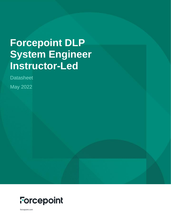# **Forcepoint DLP System Engineer Instructor-Led**

**Datasheet** 

May 2022



forcepoint.com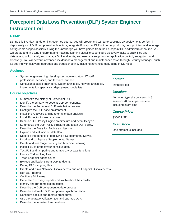### **Forcepoint Data Loss Prevention (DLP) System Engineer Instructor-Led**

#### **DTIMP**

During this five-day hands-on instructor-led course, you will create and test a Forcepoint DLP deployment, perform indepth analysis of DLP component architecture, integrate Forcepoint DLP with other products, build policies, and leverage configurable script classifiers. Using the knowledge you have gained from the Forcepoint DLP Administrator course, you will create and fine tune fingerprint and machine learning classifiers; configure discovery tasks to crawl files and databases; build, install, and manage DLP endpoints; and use data endpoints for application control, encryption, and discovery. You will perform advanced incident data management and maintenance tasks through Security Manager, such as dealing with failovers, upgrades and troubleshooting, including advanced debugging of DLP logs.

#### **Audience**

- System engineers, high level system administrators, IT staff, professional services, and technical support
- Consultants, sales engineers, system architects, network architects, implementation specialists, deployment specialists

#### **Course objectives**

- Summarize the history of Forcepoint DLP.
- **In Identify the primary Forcepoint DLP components.**
- Describe the Forcepoint DLP installation process.
- Configure the DLP base environment.
- **Install the Analytics Engine to enable data analysis.**
- **Install Protector for web scanning.**
- **Describe DLP Policy Engine architecture and event lifecycle.**
- Summarize the DLP Policy structure and test a DLP policy.
- Describe the Analytics Engine architecture
- **Explain and test incident data flow.**
- Describe the benefits of deploying a Supplemental Server.
- **Install and configure a Supplemental Server.**
- Create and test Fingerprinting and Machine Learning.
- **Install F1E to protect your sensitive data.**
- Test F1E anti-tampering and temporary bypass functions.
- $\blacksquare$  Identify Endpoint log files.
- **Trace Endpoint agent issues.**
- **Exclude applications from DLP Endpoint.**
- Debug F1E using log files.
- Create and run a Network Discovery task and an Endpoint Discovery task.
- Run DLP reports.
- Configure DLP roles.
- Generate Discovery reports and troubleshoot the crawler.
- I Identify and run remediation scripts.
- Describe the DLP component update process.
- Describe automatic DLP component synchronization.
- Configure backup and restore procedures.
- Use the upgrade validation tool and upgrade DLP.
- Describe the infrastructure database.

#### *Format:*

Instructor-led

#### *Duration:*

40 hours, typically delivered in 5 sessions (8 hours per session), including exam time

#### *Course Price:*

\$3500 USD

#### *Exam Price:*

One attempt is included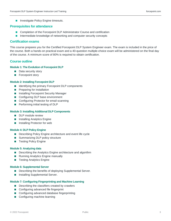**Investigate Policy Engine timeouts.** 

#### **Prerequisites for attendance**

- Completion of the Forcepoint DLP Administrator Course and certification
- Intermediate knowledge of networking and computer security concepts

#### **Certification exams**

This course prepares you for the Certified Forcepoint DLP System Engineer exam. The exam is included in the price of the course. Both a hands-on practical exam and a 40-question multiple-choice exam will be administered on the final day of the course. A minimum score of 80% is required to obtain certification.

#### **Course outline**

#### **Module 1: The Evolution of Forcepoint DLP**

- **Data security story**
- **Forcepoint story**

#### **Module 2: Installing Forcepoint DLP**

- Identifying the primary Forcepoint DLP components
- **Preparing for installation**
- **Installing Forcepoint Security Manager**
- Configuring DLP base environment
- Configuring Protector for email scanning
- **Performing initial testing of DLP**

#### **Module 3: Installing Additional DLP Components**

- DLP module review
- **Installing Analytics Engine**
- **Installing Protector for web**

#### **Module 4: DLP Policy Engine**

- Describing Policy Engine architecture and event life cycle
- Summarizing DLP policy structure
- Testing Policy Engine

#### **Module 5: Analyzing data**

- Describing the Analytics Engine architecture and algorithm
- Running Analytics Engine manually
- Testing Analytics Engine

#### **Module 6: Supplemental Server**

- Describing the benefits of deploying Supplemental Server.
- **Installing Supplemental Server.**

#### **Module 7: Configuring Fingerprinting and Machine Learning**

- Describing the classifiers created by crawlers
- Configuring advanced file fingerprint
- Configuring advanced database fingerprinting
- Configuring machine learning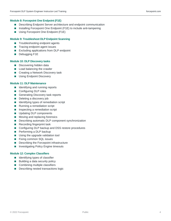#### **Module 8: Forcepoint One Endpoint (F1E)**

- **Describing Endpoint Server architecture and endpoint communication**
- Installing Forcepoint One Endpoint (F1E) to include anti-tampering
- **Using Forcepoint One Endpoint (F1E)**

#### **Module 9: Troubleshoot DLP Endpoint Scanning**

- Troubleshooting endpoint agents
- Tracing endpoint agent issues
- **Excluding applications from DLP endpoint**
- Debugging F1E

#### **Module 10: DLP Discovery tasks**

- Discovering hidden data
- **Load balancing the crawler**
- Creating a Network Discovery task
- **Using Endpoint Discovery**

#### **Module 11: DLP Maintenance**

- In Identifying and running reports
- Configuring DLP roles
- Generating Discovery task reports
- Deleting a discovery job
- **IDENTIFY IDENTIFYING** types of remediation script
- Running a remediation script
- **Inspecting a remediation script**
- **Updating DLP components**
- **Moving and replacing forensics**
- Describing automatic DLP component synchronization
- Recording fingerprint task
- Configuring DLP backup and DSS restore procedures
- **Performing a DLP backup**
- **Using the upgrade validation tool**
- **Fixing common SQL issues**
- Describing the Forcepoint infrastructure
- **Investigating Policy Engine timeouts**

#### **Module 12: Complex Classifiers**

- **In Identifying types of classifier**
- **Building a data security policy**
- Combining multiple classifiers
- Describing nested transactions logic